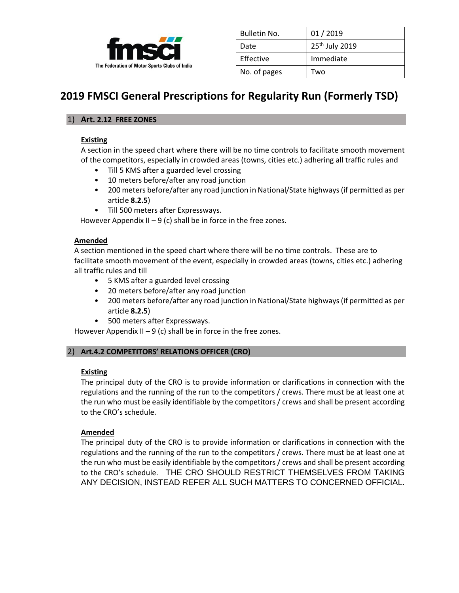

| Bulletin No. | 01/2019                    |
|--------------|----------------------------|
| Date         | 25 <sup>th</sup> July 2019 |
| Effective    | Immediate                  |
| No. of pages | Two                        |

# **2019 FMSCI General Prescriptions for Regularity Run (Formerly TSD)**

# 1) **Art. 2.12 FREE ZONES**

## **Existing**

A section in the speed chart where there will be no time controls to facilitate smooth movement of the competitors, especially in crowded areas (towns, cities etc.) adhering all traffic rules and

- Till 5 KMS after a guarded level crossing
- 10 meters before/after any road junction
- 200 meters before/after any road junction in National/State highways (if permitted as per article **8.2.5**)
- Till 500 meters after Expressways.

However Appendix II – 9 (c) shall be in force in the free zones.

# **Amended**

A section mentioned in the speed chart where there will be no time controls. These are to facilitate smooth movement of the event, especially in crowded areas (towns, cities etc.) adhering all traffic rules and till

- 5 KMS after a guarded level crossing
- 20 meters before/after any road junction
- 200 meters before/after any road junction in National/State highways (if permitted as per article **8.2.5**)
- 500 meters after Expressways.

However Appendix II – 9 (c) shall be in force in the free zones.

# 2) **Art.4.2 COMPETITORS' RELATIONS OFFICER (CRO)**

#### **Existing**

The principal duty of the CRO is to provide information or clarifications in connection with the regulations and the running of the run to the competitors / crews. There must be at least one at the run who must be easily identifiable by the competitors / crews and shall be present according to the CRO's schedule.

# **Amended**

The principal duty of the CRO is to provide information or clarifications in connection with the regulations and the running of the run to the competitors / crews. There must be at least one at the run who must be easily identifiable by the competitors / crews and shall be present according to the CRO's schedule. THE CRO SHOULD RESTRICT THEMSELVES FROM TAKING ANY DECISION, INSTEAD REFER ALL SUCH MATTERS TO CONCERNED OFFICIAL.